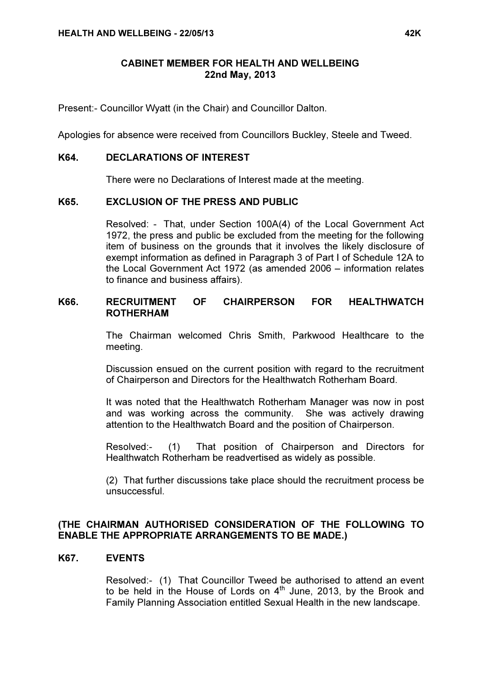#### CABINET MEMBER FOR HEALTH AND WELLBEING 22nd May, 2013

Present:- Councillor Wyatt (in the Chair) and Councillor Dalton.

Apologies for absence were received from Councillors Buckley, Steele and Tweed.

### K64. DECLARATIONS OF INTEREST

There were no Declarations of Interest made at the meeting.

## K65. EXCLUSION OF THE PRESS AND PUBLIC

 Resolved: - That, under Section 100A(4) of the Local Government Act 1972, the press and public be excluded from the meeting for the following item of business on the grounds that it involves the likely disclosure of exempt information as defined in Paragraph 3 of Part I of Schedule 12A to the Local Government Act 1972 (as amended 2006 – information relates to finance and business affairs).

# K66. RECRUITMENT OF CHAIRPERSON FOR HEALTHWATCH ROTHERHAM

 The Chairman welcomed Chris Smith, Parkwood Healthcare to the meeting.

Discussion ensued on the current position with regard to the recruitment of Chairperson and Directors for the Healthwatch Rotherham Board.

It was noted that the Healthwatch Rotherham Manager was now in post and was working across the community. She was actively drawing attention to the Healthwatch Board and the position of Chairperson.

Resolved:- (1) That position of Chairperson and Directors for Healthwatch Rotherham be readvertised as widely as possible.

(2) That further discussions take place should the recruitment process be unsuccessful.

# (THE CHAIRMAN AUTHORISED CONSIDERATION OF THE FOLLOWING TO ENABLE THE APPROPRIATE ARRANGEMENTS TO BE MADE.)

#### K67. EVENTS

 Resolved:- (1) That Councillor Tweed be authorised to attend an event to be held in the House of Lords on  $4<sup>th</sup>$  June, 2013, by the Brook and Family Planning Association entitled Sexual Health in the new landscape.